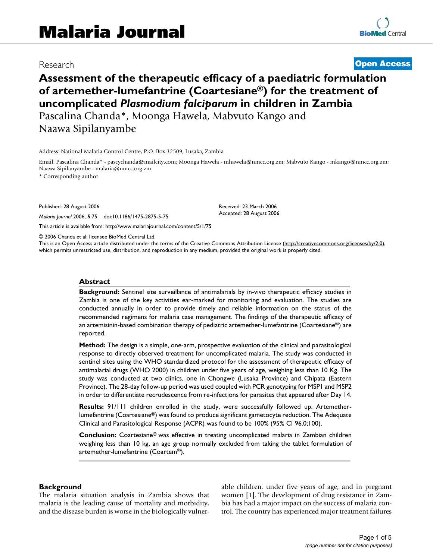# Research **[Open Access](http://www.biomedcentral.com/info/about/charter/)**

# **Assessment of the therapeutic efficacy of a paediatric formulation of artemether-lumefantrine (Coartesiane®) for the treatment of uncomplicated** *Plasmodium falciparum* **in children in Zambia** Pascalina Chanda\*, Moonga Hawela, Mabvuto Kango and Naawa Sipilanyambe

Address: National Malaria Control Centre, P.O. Box 32509, Lusaka, Zambia

Email: Pascalina Chanda\* - pascychanda@mailcity.com; Moonga Hawela - mhawela@nmcc.org.zm; Mabvuto Kango - mkango@nmcc.org.zm; Naawa Sipilanyambe - malaria@nmcc.org.zm

> Received: 23 March 2006 Accepted: 28 August 2006

\* Corresponding author

Published: 28 August 2006

*Malaria Journal* 2006, **5**:75 doi:10.1186/1475-2875-5-75

[This article is available from: http://www.malariajournal.com/content/5/1/75](http://www.malariajournal.com/content/5/1/75)

© 2006 Chanda et al; licensee BioMed Central Ltd.

This is an Open Access article distributed under the terms of the Creative Commons Attribution License [\(http://creativecommons.org/licenses/by/2.0\)](http://creativecommons.org/licenses/by/2.0), which permits unrestricted use, distribution, and reproduction in any medium, provided the original work is properly cited.

#### **Abstract**

**Background:** Sentinel site surveillance of antimalarials by in-vivo therapeutic efficacy studies in Zambia is one of the key activities ear-marked for monitoring and evaluation. The studies are conducted annually in order to provide timely and reliable information on the status of the recommended regimens for malaria case management. The findings of the therapeutic efficacy of an artemisinin-based combination therapy of pediatric artemether-lumefantrine (Coartesiane®) are reported.

**Method:** The design is a simple, one-arm, prospective evaluation of the clinical and parasitological response to directly observed treatment for uncomplicated malaria. The study was conducted in sentinel sites using the WHO standardized protocol for the assessment of therapeutic efficacy of antimalarial drugs (WHO 2000) in children under five years of age, weighing less than 10 Kg. The study was conducted at two clinics, one in Chongwe (Lusaka Province) and Chipata (Eastern Province). The 28-day follow-up period was used coupled with PCR genotyping for MSP1 and MSP2 in order to differentiate recrudescence from re-infections for parasites that appeared after Day 14.

**Results:** 91/111 children enrolled in the study, were successfully followed up. Artemetherlumefantrine (Coartesiane®) was found to produce significant gametocyte reduction. The Adequate Clinical and Parasitological Response (ACPR) was found to be 100% (95% CI 96.0;100).

**Conclusion:** Coartesiane® was effective in treating uncomplicated malaria in Zambian children weighing less than 10 kg, an age group normally excluded from taking the tablet formulation of artemether-lumefantrine (Coartem®).

#### **Background**

The malaria situation analysis in Zambia shows that malaria is the leading cause of mortality and morbidity, and the disease burden is worse in the biologically vulnerable children, under five years of age, and in pregnant women [1]. The development of drug resistance in Zambia has had a major impact on the success of malaria control. The country has experienced major treatment failures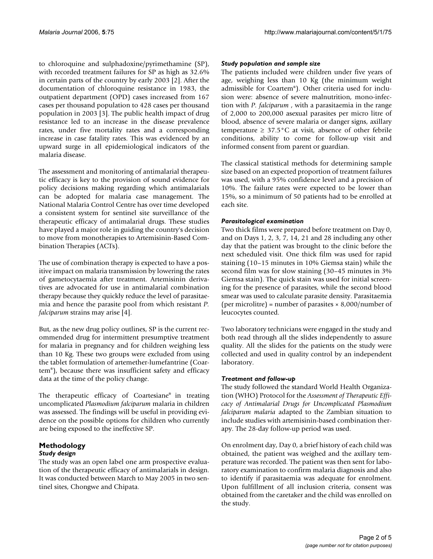to chloroquine and sulphadoxine/pyrimethamine (SP), with recorded treatment failures for SP as high as 32.6% in certain parts of the country by early 2003 [2]. After the documentation of chloroquine resistance in 1983, the outpatient department (OPD) cases increased from 167 cases per thousand population to 428 cases per thousand population in 2003 [3]. The public health impact of drug resistance led to an increase in the disease prevalence rates, under five mortality rates and a corresponding increase in case fatality rates. This was evidenced by an upward surge in all epidemiological indicators of the malaria disease.

The assessment and monitoring of antimalarial therapeutic efficacy is key to the provision of sound evidence for policy decisions making regarding which antimalarials can be adopted for malaria case management. The National Malaria Control Centre has over time developed a consistent system for sentinel site surveillance of the therapeutic efficacy of antimalarial drugs. These studies have played a major role in guiding the country's decision to move from monotherapies to Artemisinin-Based Combination Therapies (ACTs).

The use of combination therapy is expected to have a positive impact on malaria transmission by lowering the rates of gametocytaemia after treatment. Artemisinin derivatives are advocated for use in antimalarial combination therapy because they quickly reduce the level of parasitaemia and hence the parasite pool from which resistant *P. falciparum* strains may arise [4].

But, as the new drug policy outlines, SP is the current recommended drug for intermittent presumptive treatment for malaria in pregnancy and for children weighing less than 10 Kg. These two groups were excluded from using the tablet formulation of artemether-lumefantrine (Coartem®), because there was insufficient safety and efficacy data at the time of the policy change.

The therapeutic efficacy of Coartesiane® in treating uncomplicated *Plasmodium falciparum* malaria in children was assessed. The findings will be useful in providing evidence on the possible options for children who currently are being exposed to the ineffective SP.

## **Methodology**

#### *Study design*

The study was an open label one arm prospective evaluation of the therapeutic efficacy of antimalarials in design. It was conducted between March to May 2005 in two sentinel sites, Chongwe and Chipata.

#### *Study population and sample size*

The patients included were children under five years of age, weighing less than 10 Kg (the minimum weight admissible for Coartem®). Other criteria used for inclusion were: absence of severe malnutrition, mono-infection with *P. falciparum* , with a parasitaemia in the range of 2,000 to 200,000 asexual parasites per micro litre of blood, absence of severe malaria or danger signs, axillary temperature  $\geq 37.5^{\circ}$ C at visit, absence of other febrile conditions, ability to come for follow-up visit and informed consent from parent or guardian.

The classical statistical methods for determining sample size based on an expected proportion of treatment failures was used, with a 95% confidence level and a precision of 10%. The failure rates were expected to be lower than 15%, so a minimum of 50 patients had to be enrolled at each site.

#### *Parasitological examination*

Two thick films were prepared before treatment on Day 0, and on Days 1, 2, 3, 7, 14, 21 and 28 including any other day that the patient was brought to the clinic before the next scheduled visit. One thick film was used for rapid staining (10–15 minutes in 10% Giemsa stain) while the second film was for slow staining (30–45 minutes in 3% Giemsa stain). The quick stain was used for initial screening for the presence of parasites, while the second blood smear was used to calculate parasite density. Parasitaemia (per microlitre) = number of parasites  $\times$  8,000/number of leucocytes counted.

Two laboratory technicians were engaged in the study and both read through all the slides independently to assure quality. All the slides for the patients on the study were collected and used in quality control by an independent laboratory.

#### *Treatment and follow-up*

The study followed the standard World Health Organization (WHO) Protocol for the *Assessment of Therapeutic Efficacy of Antimalarial Drugs for Uncomplicated Plasmodium falciparum malaria* adapted to the Zambian situation to include studies with artemisinin-based combination therapy. The 28-day follow-up period was used.

On enrolment day, Day 0, a brief history of each child was obtained, the patient was weighed and the axillary temperature was recorded. The patient was then sent for laboratory examination to confirm malaria diagnosis and also to identify if parasitaemia was adequate for enrolment. Upon fulfillment of all inclusion criteria, consent was obtained from the caretaker and the child was enrolled on the study.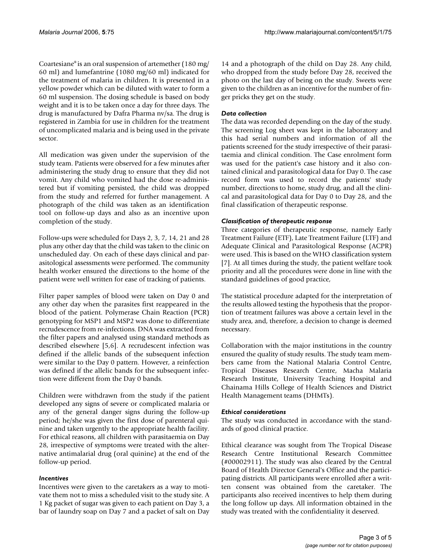Coartesiane® is an oral suspension of artemether (180 mg/ 60 ml) and lumefantrine (1080 mg/60 ml) indicated for the treatment of malaria in children. It is presented in a yellow powder which can be diluted with water to form a 60 ml suspension. The dosing schedule is based on body weight and it is to be taken once a day for three days. The drug is manufactured by Dafra Pharma nv/sa. The drug is registered in Zambia for use in children for the treatment of uncomplicated malaria and is being used in the private sector.

All medication was given under the supervision of the study team. Patients were observed for a few minutes after administering the study drug to ensure that they did not vomit. Any child who vomited had the dose re-administered but if vomiting persisted, the child was dropped from the study and referred for further management. A photograph of the child was taken as an identification tool on follow-up days and also as an incentive upon completion of the study.

Follow-ups were scheduled for Days 2, 3, 7, 14, 21 and 28 plus any other day that the child was taken to the clinic on unscheduled day. On each of these days clinical and parasitological assessments were performed. The community health worker ensured the directions to the home of the patient were well written for ease of tracking of patients.

Filter paper samples of blood were taken on Day 0 and any other day when the parasites first reappeared in the blood of the patient. Polymerase Chain Reaction (PCR) genotyping for MSP1 and MSP2 was done to differentiate recrudescence from re-infections. DNA was extracted from the filter papers and analysed using standard methods as described elsewhere [5,6]. A recrudescent infection was defined if the allelic bands of the subsequent infection were similar to the Day 0 pattern. However, a reinfection was defined if the allelic bands for the subsequent infection were different from the Day 0 bands.

Children were withdrawn from the study if the patient developed any signs of severe or complicated malaria or any of the general danger signs during the follow-up period; he/she was given the first dose of parenteral quinine and taken urgently to the appropriate health facility. For ethical reasons, all children with parasitaemia on Day 28, irrespective of symptoms were treated with the alternative antimalarial drug (oral quinine) at the end of the follow-up period.

#### *Incentives*

Incentives were given to the caretakers as a way to motivate them not to miss a scheduled visit to the study site. A 1 Kg packet of sugar was given to each patient on Day 3, a bar of laundry soap on Day 7 and a packet of salt on Day

14 and a photograph of the child on Day 28. Any child, who dropped from the study before Day 28, received the photo on the last day of being on the study. Sweets were given to the children as an incentive for the number of finger pricks they get on the study.

#### *Data collection*

The data was recorded depending on the day of the study. The screening Log sheet was kept in the laboratory and this had serial numbers and information of all the patients screened for the study irrespective of their parasitaemia and clinical condition. The Case enrolment form was used for the patient's case history and it also contained clinical and parasitological data for Day 0. The case record form was used to record the patients' study number, directions to home, study drug, and all the clinical and parasitological data for Day 0 to Day 28, and the final classification of therapeutic response.

#### *Classification of therapeutic response*

Three categories of therapeutic response, namely Early Treatment Failure (ETF), Late Treatment Failure (LTF) and Adequate Clinical and Parasitological Response (ACPR) were used. This is based on the WHO classification system [7]. At all times during the study, the patient welfare took priority and all the procedures were done in line with the standard guidelines of good practice,

The statistical procedure adapted for the interpretation of the results allowed testing the hypothesis that the proportion of treatment failures was above a certain level in the study area, and, therefore, a decision to change is deemed necessary.

Collaboration with the major institutions in the country ensured the quality of study results. The study team members came from the National Malaria Control Centre, Tropical Diseases Research Centre, Macha Malaria Research Institute, University Teaching Hospital and Chainama Hills College of Health Sciences and District Health Management teams (DHMTs).

#### *Ethical considerations*

The study was conducted in accordance with the standards of good clinical practice.

Ethical clearance was sought from The Tropical Disease Research Centre Institutional Research Committee (#00002911). The study was also cleared by the Central Board of Health Director General's Office and the participating districts. All participants were enrolled after a written consent was obtained from the caretaker. The participants also received incentives to help them during the long follow up days. All information obtained in the study was treated with the confidentiality it deserved.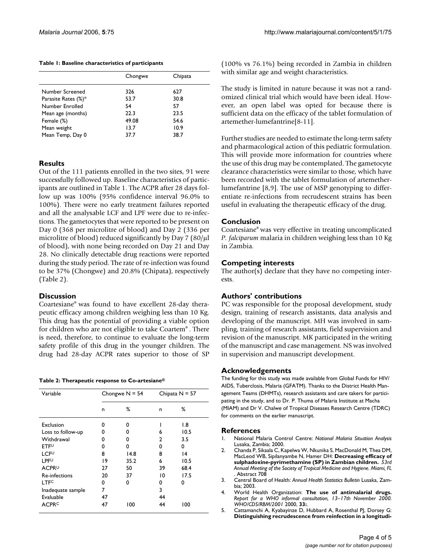**Table 1: Baseline characteristics of participants**

|                     | Chongwe | Chipata |
|---------------------|---------|---------|
|                     |         |         |
| Number Screened     | 326     | 627     |
| Parasite Rates (%)* | 53.7    | 30.8    |
| Number Enrolled     | 54      | 57      |
| Mean age (months)   | 22.3    | 23.5    |
| Female (%)          | 49.08   | 54.6    |
| Mean weight         | 13.7    | 10.9    |
| Mean Temp, Day 0    | 37.7    | 38.7    |

### **Results**

Out of the 111 patients enrolled in the two sites, 91 were successfully followed up. Baseline characteristics of participants are outlined in Table 1. The ACPR after 28 days follow up was 100% (95% confidence interval 96.0% to 100%). There were no early treatment failures reported and all the analysable LCF and LPF were due to re-infections. The gametocytes that were reported to be present on Day 0 (368 per microlitre of blood) and Day 2 (336 per microlitre of blood) reduced significantly by Day 7 (80/µl of blood), with none being recorded on Day 21 and Day 28. No clinically detectable drug reactions were reported during the study period. The rate of re-infection was found to be 37% (Chongwe) and 20.8% (Chipata), respectively (Table 2).

#### **Discussion**

Coartesiane® was found to have excellent 28-day therapeutic efficacy among children weighing less than 10 Kg. This drug has the potential of providing a viable option for children who are not eligible to take Coartem® . There is need, therefore, to continue to evaluate the long-term safety profile of this drug in the younger children. The drug had 28-day ACPR rates superior to those of SP

|  |  |  |  | Table 2: Therapeutic response to Co-artesiane $^\circledR$ |
|--|--|--|--|------------------------------------------------------------|
|--|--|--|--|------------------------------------------------------------|

| Variable                | Chongwe $N = 54$ |      | Chipata $N = 57$ |      |
|-------------------------|------------------|------|------------------|------|
|                         | n                | %    | n                | ℅    |
| Exclusion               | U                | 0    |                  | 1.8  |
| Loss to follow-up       | 0                | 0    | 6                | 10.5 |
| Withdrawal              | 0                | 0    | 2                | 3.5  |
| ETFU                    | 0                | 0    | 0                | 0    |
| LCFU                    | 8                | 14.8 | 8                | 14   |
| <b>LPF<sup>U</sup></b>  | 19               | 35.2 | 6                | 10.5 |
| ACPR <sup>∪</sup>       | 27               | 50   | 39               | 68.4 |
| Re-infections           | 20               | 37   | 10               | 17.5 |
| <b>LTFC</b>             | 0                | 0    | 0                | 0    |
| Inadequate sample       | 7                |      | 3                |      |
| Evaluable               | 47               |      | 44               |      |
| <b>ACPR<sup>C</sup></b> | 47               | 100  | 44               | 100  |

(100% vs 76.1%) being recorded in Zambia in children with similar age and weight characteristics.

The study is limited in nature because it was not a randomized clinical trial which would have been ideal. However, an open label was opted for because there is sufficient data on the efficacy of the tablet formulation of artemether-lumefantrine[8-11].

Further studies are needed to estimate the long-term safety and pharmacological action of this pediatric formulation. This will provide more information for countries where the use of this drug may be contemplated. The gametocyte clearance characteristics were similar to those, which have been recorded with the tablet formulation of artemetherlumefantrine [8,9]. The use of MSP genotyping to differentiate re-infections from recrudescent strains has been useful in evaluating the therapeutic efficacy of the drug.

#### **Conclusion**

Coartesiane® was very effective in treating uncomplicated *P. falciparum* malaria in children weighing less than 10 Kg in Zambia.

#### **Competing interests**

The author(s) declare that they have no competing interests.

#### **Authors' contributions**

PC was responsible for the proposal development, study design, training of research assistants, data analysis and developing of the manuscript. MH was involved in sampling, training of research assistants, field supervision and revision of the manuscript. MK participated in the writing of the manuscript and case management. NS was involved in supervision and manuscript development.

#### **Acknowledgements**

The funding for this study was made available from Global Funds for HIV/ AIDS, Tuberclosis, Malaria (GFATM). Thanks to the District Health Management Teams (DHMTs), research assistants and care takers for participating in the study, and to Dr. P. Thuma of Malaria Institute at Macha (MIAM) and Dr V. Chalwe of Tropical Diseases Research Centre (TDRC) for comments on the earlier manuscript.

#### **References**

- 1. National Malaria Control Centre: *National Malaria Situation Analysis* Lusaka, Zambia; 2000.
- 2. Chanda P, Sikaala C, Kapelwa W, Nkunika S, MacDonald M, Thea DM, MacLeod WB, Sipilanyambe N, Hamer DH: **Decreasing efficacy of sulphadoxine-pyrimethamine (SP) in Zambian children.** *53rd Annual Meeting of the Society of Tropical Medicine and Hygiene. Miami, FL* . Abstract 708
- 3. Central Board of Health: *Annual Health Statistics Bulletin* Lusaka, Zambia; 2003.
- 4. World Health Organization: **The use of antimalarial drugs.** *Report for a WHO informal consultation, 13–17th November 2000. WHO/CDS/RBM/2001* 2000, **33:**.
- 5. Cattamanchi A, Kyabayinze D, Hubbard A, Rosenthal PJ, Dorsey G: **[Distinguishing recrudescence from reinfection in a longitudi](http://www.ncbi.nlm.nih.gov/entrez/query.fcgi?cmd=Retrieve&db=PubMed&dopt=Abstract&list_uids=12641400)-**